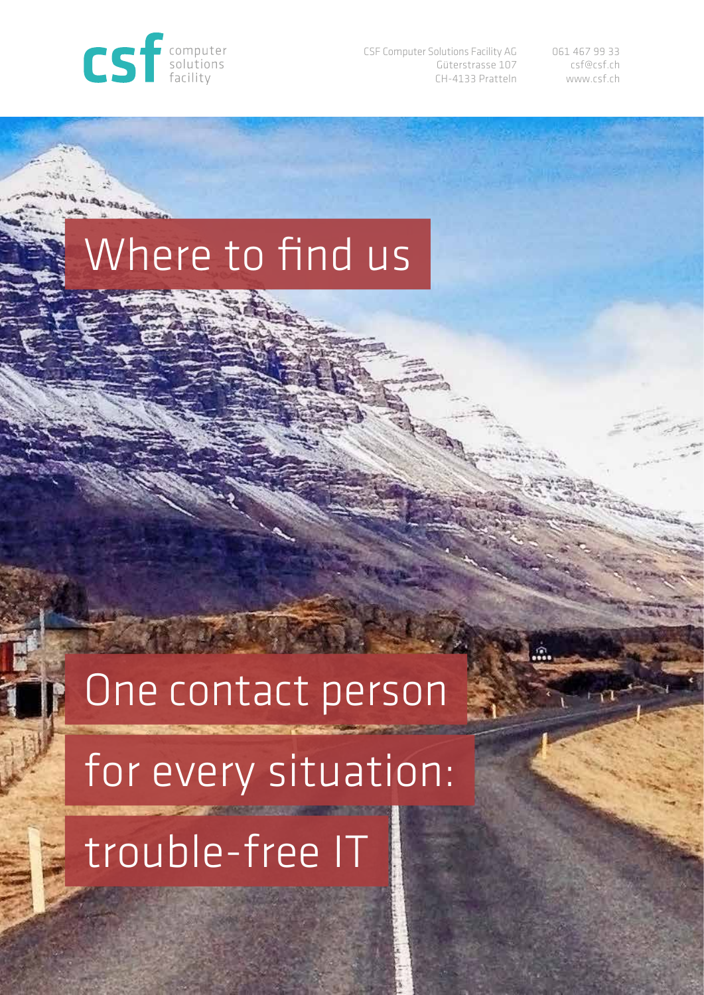

**PAC PER TRUCKS** 

CSF Computer Solutions Facility AG Güterstrasse 107 CH-4133 Pratteln 061 467 99 33 csf@csf.ch www.csf.ch

## Where to find us

# One contact person

for every situation:

trouble-free IT